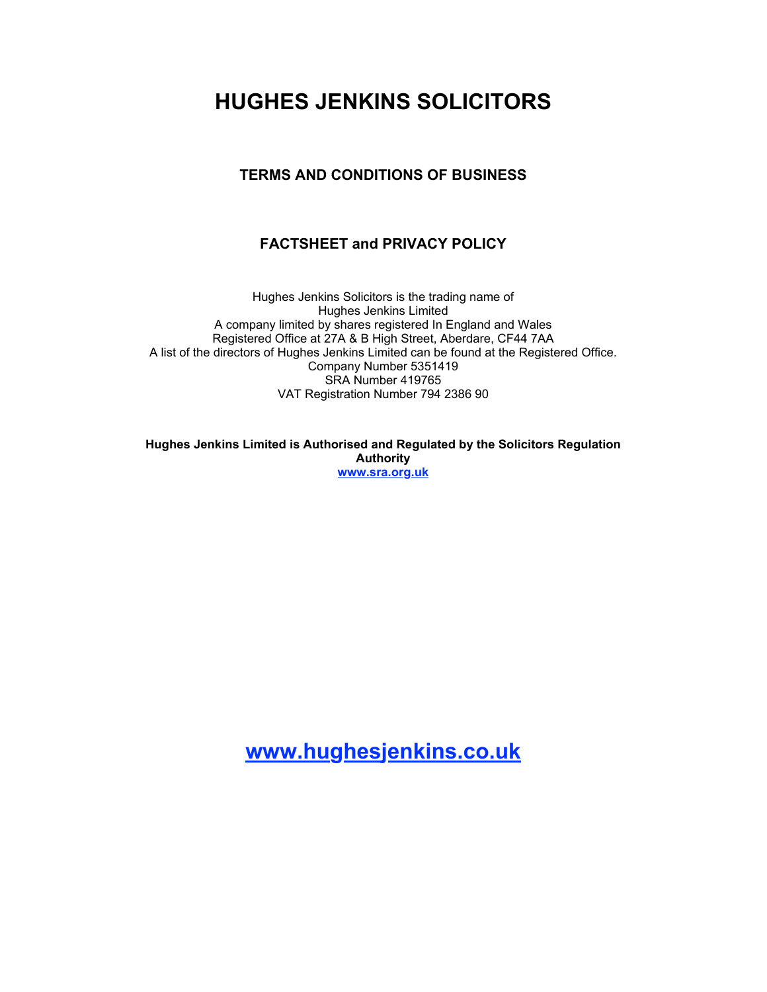# **HUGHES JENKINS SOLICITORS**

## **TERMS AND CONDITIONS OF BUSINESS**

## **FACTSHEET and PRIVACY POLICY**

Hughes Jenkins Solicitors is the trading name of Hughes Jenkins Limited A company limited by shares registered In England and Wales Registered Office at 27A & B High Street, Aberdare, CF44 7AA A list of the directors of Hughes Jenkins Limited can be found at the Registered Office. Company Number 5351419 SRA Number 419765 VAT Registration Number 794 2386 90

**Hughes Jenkins Limited is Authorised and Regulated by the Solicitors Regulation Authority [www.sra.org.uk](http://www.sra.org.uk)**

**[www.hughesjenkins.co.uk](http://www.hughesjenkins.co.uk)**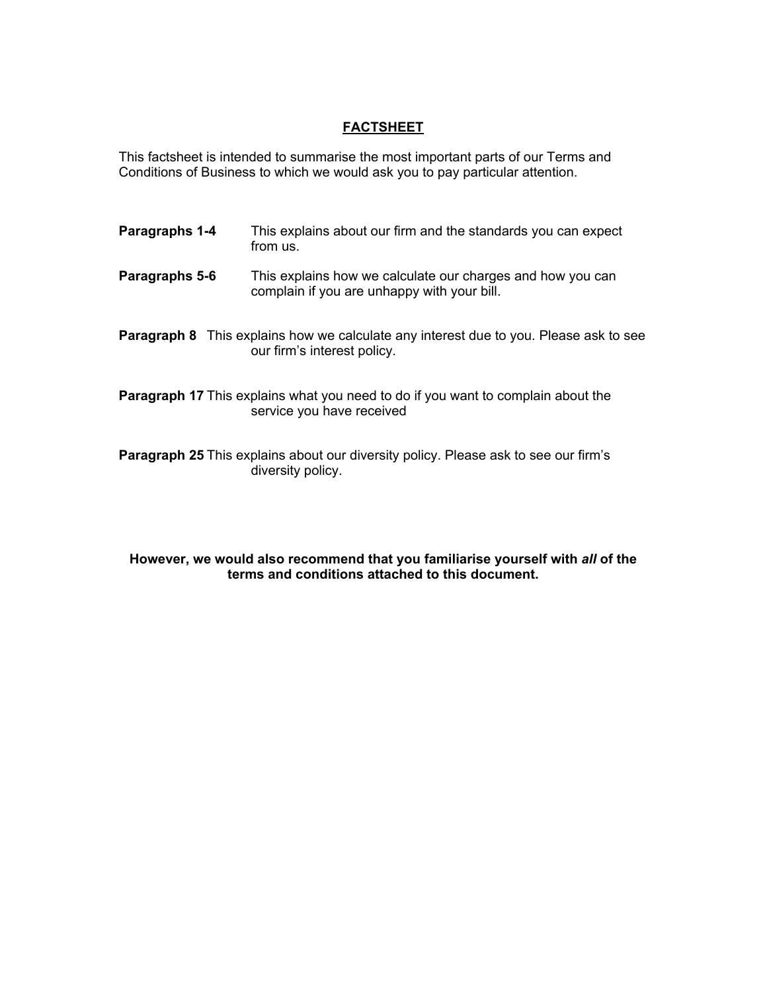### **FACTSHEET**

This factsheet is intended to summarise the most important parts of our Terms and Conditions of Business to which we would ask you to pay particular attention.

- **Paragraphs 1-4** This explains about our firm and the standards you can expect from us.
- **Paragraphs 5-6** This explains how we calculate our charges and how you can complain if you are unhappy with your bill.
- **Paragraph 8** This explains how we calculate any interest due to you. Please ask to see our firm's interest policy.
- **Paragraph 17** This explains what you need to do if you want to complain about the service you have received
- **Paragraph 25** This explains about our diversity policy. Please ask to see our firm's diversity policy.

#### **However, we would also recommend that you familiarise yourself with** *all* **of the terms and conditions attached to this document.**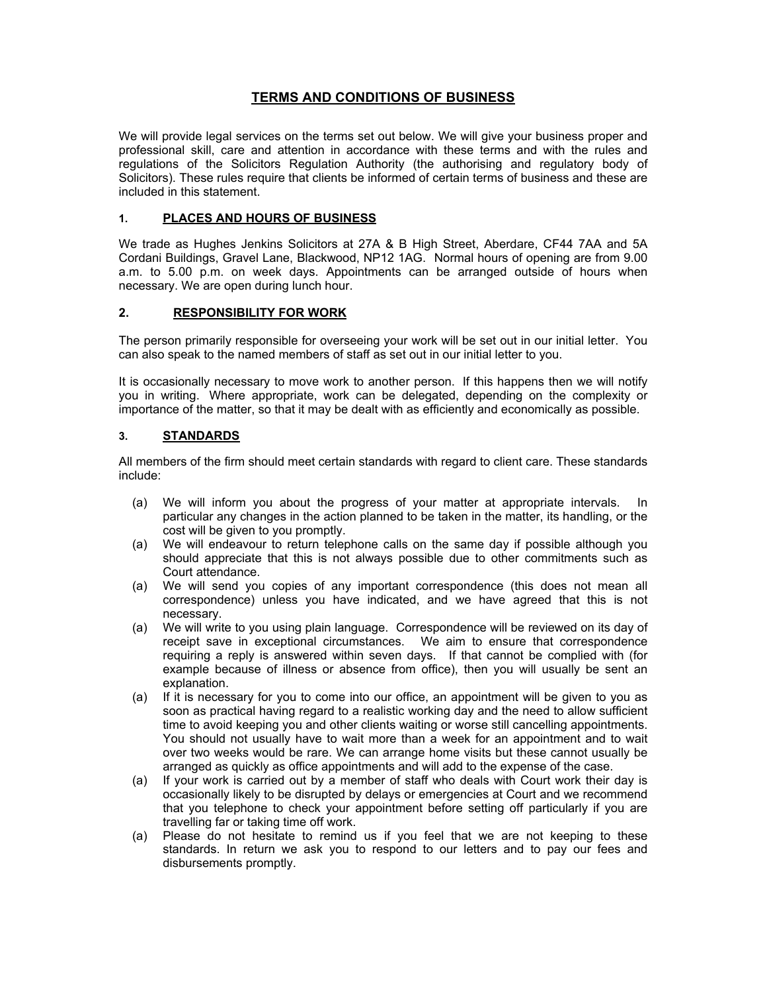### **TERMS AND CONDITIONS OF BUSINESS**

We will provide legal services on the terms set out below. We will give your business proper and professional skill, care and attention in accordance with these terms and with the rules and regulations of the Solicitors Regulation Authority (the authorising and regulatory body of Solicitors). These rules require that clients be informed of certain terms of business and these are included in this statement.

#### **1. PLACES AND HOURS OF BUSINESS**

We trade as Hughes Jenkins Solicitors at 27A & B High Street, Aberdare, CF44 7AA and 5A Cordani Buildings, Gravel Lane, Blackwood, NP12 1AG. Normal hours of opening are from 9.00 a.m. to 5.00 p.m. on week days. Appointments can be arranged outside of hours when necessary. We are open during lunch hour.

#### **2. RESPONSIBILITY FOR WORK**

The person primarily responsible for overseeing your work will be set out in our initial letter. You can also speak to the named members of staff as set out in our initial letter to you.

It is occasionally necessary to move work to another person. If this happens then we will notify you in writing. Where appropriate, work can be delegated, depending on the complexity or importance of the matter, so that it may be dealt with as efficiently and economically as possible.

#### **3. STANDARDS**

All members of the firm should meet certain standards with regard to client care. These standards include:

- (a) We will inform you about the progress of your matter at appropriate intervals. In particular any changes in the action planned to be taken in the matter, its handling, or the cost will be given to you promptly.
- (a) We will endeavour to return telephone calls on the same day if possible although you should appreciate that this is not always possible due to other commitments such as Court attendance.
- (a) We will send you copies of any important correspondence (this does not mean all correspondence) unless you have indicated, and we have agreed that this is not necessary.
- (a) We will write to you using plain language. Correspondence will be reviewed on its day of receipt save in exceptional circumstances. We aim to ensure that correspondence requiring a reply is answered within seven days. If that cannot be complied with (for example because of illness or absence from office), then you will usually be sent an explanation.
- (a) If it is necessary for you to come into our office, an appointment will be given to you as soon as practical having regard to a realistic working day and the need to allow sufficient time to avoid keeping you and other clients waiting or worse still cancelling appointments. You should not usually have to wait more than a week for an appointment and to wait over two weeks would be rare. We can arrange home visits but these cannot usually be arranged as quickly as office appointments and will add to the expense of the case.
- (a) If your work is carried out by a member of staff who deals with Court work their day is occasionally likely to be disrupted by delays or emergencies at Court and we recommend that you telephone to check your appointment before setting off particularly if you are travelling far or taking time off work.
- (a) Please do not hesitate to remind us if you feel that we are not keeping to these standards. In return we ask you to respond to our letters and to pay our fees and disbursements promptly.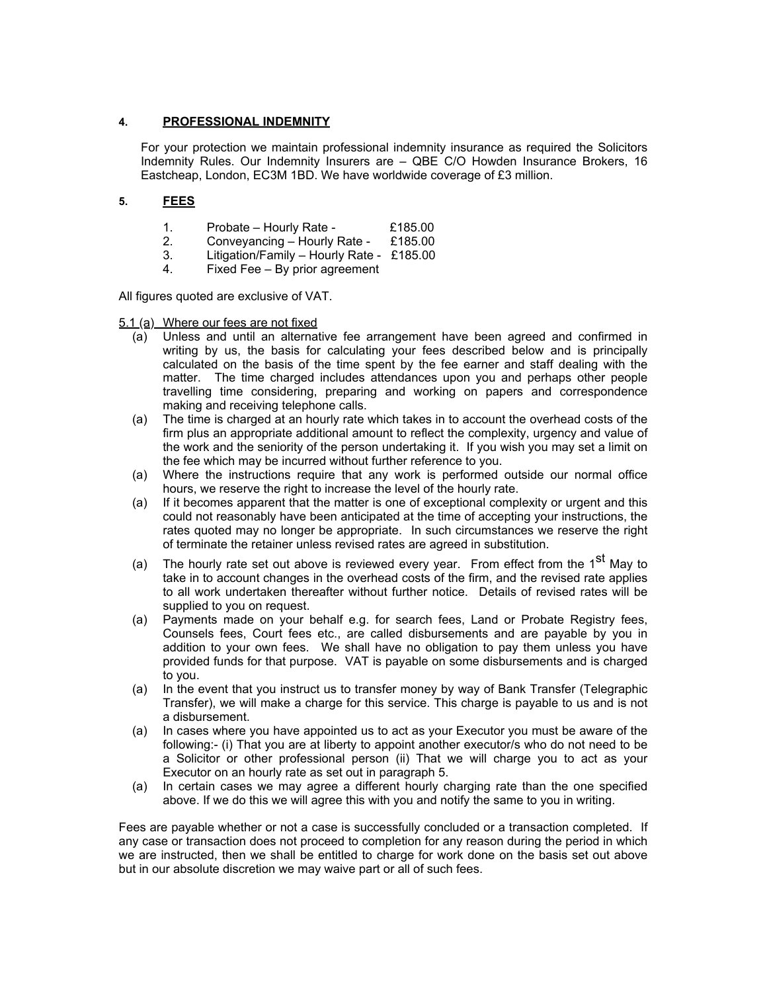#### **4. PROFESSIONAL INDEMNITY**

For your protection we maintain professional indemnity insurance as required the Solicitors Indemnity Rules. Our Indemnity Insurers are – QBE C/O Howden Insurance Brokers, 16 Eastcheap, London, EC3M 1BD. We have worldwide coverage of £3 million.

#### **5. FEES**

- 1. Probate Hourly Rate £185.00
- 2. Conveyancing Hourly Rate £185.00
- 3. Litigation/Family Hourly Rate £185.00
- 4. Fixed Fee By prior agreement

All figures quoted are exclusive of VAT.

5.1 (a) Where our fees are not fixed

- (a) Unless and until an alternative fee arrangement have been agreed and confirmed in writing by us, the basis for calculating your fees described below and is principally calculated on the basis of the time spent by the fee earner and staff dealing with the matter. The time charged includes attendances upon you and perhaps other people travelling time considering, preparing and working on papers and correspondence making and receiving telephone calls.
- (a) The time is charged at an hourly rate which takes in to account the overhead costs of the firm plus an appropriate additional amount to reflect the complexity, urgency and value of the work and the seniority of the person undertaking it. If you wish you may set a limit on the fee which may be incurred without further reference to you.
- (a) Where the instructions require that any work is performed outside our normal office hours, we reserve the right to increase the level of the hourly rate.
- (a) If it becomes apparent that the matter is one of exceptional complexity or urgent and this could not reasonably have been anticipated at the time of accepting your instructions, the rates quoted may no longer be appropriate. In such circumstances we reserve the right of terminate the retainer unless revised rates are agreed in substitution.
- (a) The hourly rate set out above is reviewed every year. From effect from the  $1<sup>st</sup>$  May to take in to account changes in the overhead costs of the firm, and the revised rate applies to all work undertaken thereafter without further notice. Details of revised rates will be supplied to you on request.
- (a) Payments made on your behalf e.g. for search fees, Land or Probate Registry fees, Counsels fees, Court fees etc., are called disbursements and are payable by you in addition to your own fees. We shall have no obligation to pay them unless you have provided funds for that purpose. VAT is payable on some disbursements and is charged to you.
- (a) In the event that you instruct us to transfer money by way of Bank Transfer (Telegraphic Transfer), we will make a charge for this service. This charge is payable to us and is not a disbursement.
- (a) In cases where you have appointed us to act as your Executor you must be aware of the following:- (i) That you are at liberty to appoint another executor/s who do not need to be a Solicitor or other professional person (ii) That we will charge you to act as your Executor on an hourly rate as set out in paragraph 5.
- (a) In certain cases we may agree a different hourly charging rate than the one specified above. If we do this we will agree this with you and notify the same to you in writing.

Fees are payable whether or not a case is successfully concluded or a transaction completed. If any case or transaction does not proceed to completion for any reason during the period in which we are instructed, then we shall be entitled to charge for work done on the basis set out above but in our absolute discretion we may waive part or all of such fees.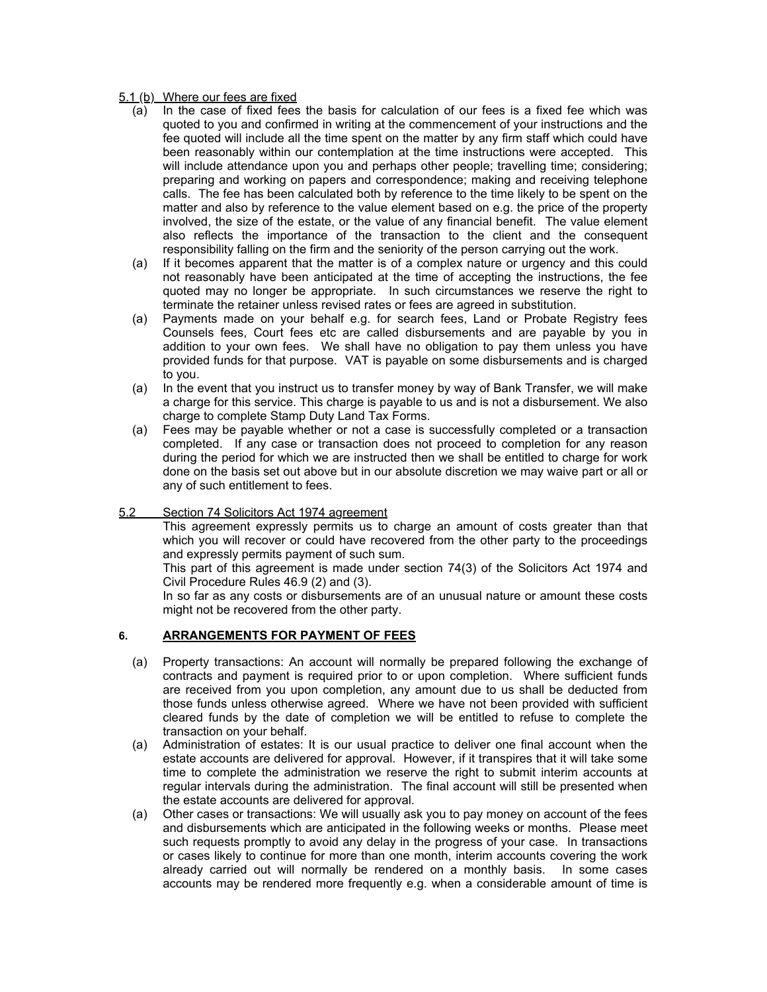#### 5.1 (b) Where our fees are fixed

- (a) In the case of fixed fees the basis for calculation of our fees is a fixed fee which was quoted to you and confirmed in writing at the commencement of your instructions and the fee quoted will include all the time spent on the matter by any firm staff which could have been reasonably within our contemplation at the time instructions were accepted. This will include attendance upon you and perhaps other people; travelling time; considering; preparing and working on papers and correspondence; making and receiving telephone calls. The fee has been calculated both by reference to the time likely to be spent on the matter and also by reference to the value element based on e.g. the price of the property involved, the size of the estate, or the value of any financial benefit. The value element also reflects the importance of the transaction to the client and the consequent responsibility falling on the firm and the seniority of the person carrying out the work.
- (a) If it becomes apparent that the matter is of a complex nature or urgency and this could not reasonably have been anticipated at the time of accepting the instructions, the fee quoted may no longer be appropriate. In such circumstances we reserve the right to terminate the retainer unless revised rates or fees are agreed in substitution.
- (a) Payments made on your behalf e.g. for search fees, Land or Probate Registry fees Counsels fees, Court fees etc are called disbursements and are payable by you in addition to your own fees. We shall have no obligation to pay them unless you have provided funds for that purpose. VAT is payable on some disbursements and is charged to you.
- (a) In the event that you instruct us to transfer money by way of Bank Transfer, we will make a charge for this service. This charge is payable to us and is not a disbursement. We also charge to complete Stamp Duty Land Tax Forms.
- (a) Fees may be payable whether or not a case is successfully completed or a transaction completed. If any case or transaction does not proceed to completion for any reason during the period for which we are instructed then we shall be entitled to charge for work done on the basis set out above but in our absolute discretion we may waive part or all or any of such entitlement to fees.

#### 5.2 Section 74 Solicitors Act 1974 agreement

This agreement expressly permits us to charge an amount of costs greater than that which you will recover or could have recovered from the other party to the proceedings and expressly permits payment of such sum.

This part of this agreement is made under section 74(3) of the Solicitors Act 1974 and Civil Procedure Rules 46.9 (2) and (3).

In so far as any costs or disbursements are of an unusual nature or amount these costs might not be recovered from the other party.

#### **6. ARRANGEMENTS FOR PAYMENT OF FEES**

- (a) Property transactions: An account will normally be prepared following the exchange of contracts and payment is required prior to or upon completion. Where sufficient funds are received from you upon completion, any amount due to us shall be deducted from those funds unless otherwise agreed. Where we have not been provided with sufficient cleared funds by the date of completion we will be entitled to refuse to complete the transaction on your behalf.
- (a) Administration of estates: It is our usual practice to deliver one final account when the estate accounts are delivered for approval. However, if it transpires that it will take some time to complete the administration we reserve the right to submit interim accounts at regular intervals during the administration. The final account will still be presented when the estate accounts are delivered for approval.
- (a) Other cases or transactions: We will usually ask you to pay money on account of the fees and disbursements which are anticipated in the following weeks or months. Please meet such requests promptly to avoid any delay in the progress of your case. In transactions or cases likely to continue for more than one month, interim accounts covering the work already carried out will normally be rendered on a monthly basis. In some cases accounts may be rendered more frequently e.g. when a considerable amount of time is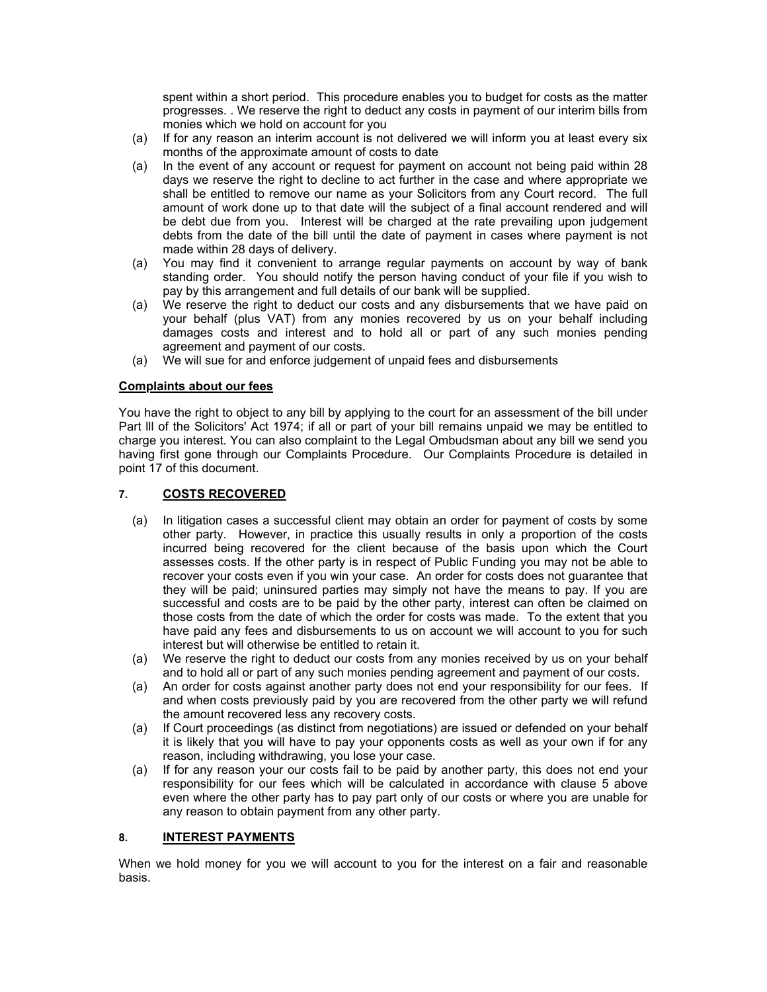spent within a short period. This procedure enables you to budget for costs as the matter progresses. . We reserve the right to deduct any costs in payment of our interim bills from monies which we hold on account for you

- (a) If for any reason an interim account is not delivered we will inform you at least every six months of the approximate amount of costs to date
- (a) In the event of any account or request for payment on account not being paid within 28 days we reserve the right to decline to act further in the case and where appropriate we shall be entitled to remove our name as your Solicitors from any Court record. The full amount of work done up to that date will the subject of a final account rendered and will be debt due from you. Interest will be charged at the rate prevailing upon judgement debts from the date of the bill until the date of payment in cases where payment is not made within 28 days of delivery.
- (a) You may find it convenient to arrange regular payments on account by way of bank standing order. You should notify the person having conduct of your file if you wish to pay by this arrangement and full details of our bank will be supplied.
- (a) We reserve the right to deduct our costs and any disbursements that we have paid on your behalf (plus VAT) from any monies recovered by us on your behalf including damages costs and interest and to hold all or part of any such monies pending agreement and payment of our costs.
- (a) We will sue for and enforce judgement of unpaid fees and disbursements

#### **Complaints about our fees**

You have the right to object to any bill by applying to the court for an assessment of the bill under Part lll of the Solicitors' Act 1974; if all or part of your bill remains unpaid we may be entitled to charge you interest. You can also complaint to the Legal Ombudsman about any bill we send you having first gone through our Complaints Procedure. Our Complaints Procedure is detailed in point 17 of this document.

#### **7. COSTS RECOVERED**

- (a) In litigation cases a successful client may obtain an order for payment of costs by some other party. However, in practice this usually results in only a proportion of the costs incurred being recovered for the client because of the basis upon which the Court assesses costs. If the other party is in respect of Public Funding you may not be able to recover your costs even if you win your case. An order for costs does not guarantee that they will be paid; uninsured parties may simply not have the means to pay. If you are successful and costs are to be paid by the other party, interest can often be claimed on those costs from the date of which the order for costs was made. To the extent that you have paid any fees and disbursements to us on account we will account to you for such interest but will otherwise be entitled to retain it.
- (a) We reserve the right to deduct our costs from any monies received by us on your behalf and to hold all or part of any such monies pending agreement and payment of our costs.
- (a) An order for costs against another party does not end your responsibility for our fees. If and when costs previously paid by you are recovered from the other party we will refund the amount recovered less any recovery costs.
- (a) If Court proceedings (as distinct from negotiations) are issued or defended on your behalf it is likely that you will have to pay your opponents costs as well as your own if for any reason, including withdrawing, you lose your case.
- (a) If for any reason your our costs fail to be paid by another party, this does not end your responsibility for our fees which will be calculated in accordance with clause 5 above even where the other party has to pay part only of our costs or where you are unable for any reason to obtain payment from any other party.

#### **8. INTEREST PAYMENTS**

When we hold money for you we will account to you for the interest on a fair and reasonable basis.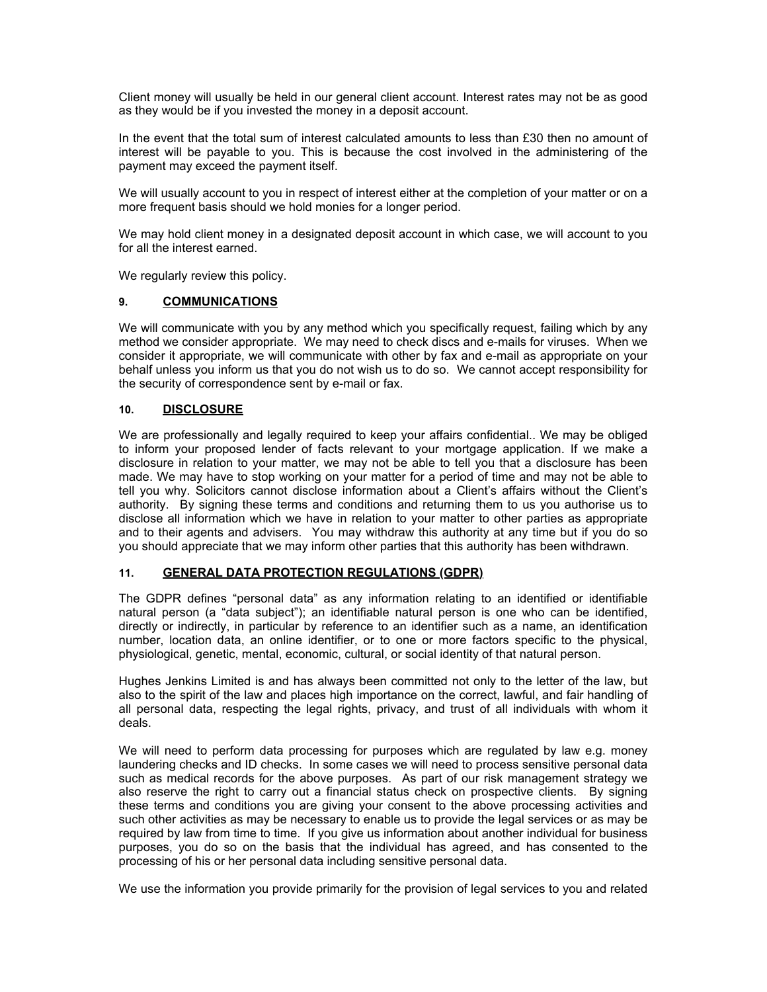Client money will usually be held in our general client account. Interest rates may not be as good as they would be if you invested the money in a deposit account.

In the event that the total sum of interest calculated amounts to less than £30 then no amount of interest will be payable to you. This is because the cost involved in the administering of the payment may exceed the payment itself.

We will usually account to you in respect of interest either at the completion of your matter or on a more frequent basis should we hold monies for a longer period.

We may hold client money in a designated deposit account in which case, we will account to you for all the interest earned.

We regularly review this policy.

#### **9. COMMUNICATIONS**

We will communicate with you by any method which you specifically request, failing which by any method we consider appropriate. We may need to check discs and e-mails for viruses. When we consider it appropriate, we will communicate with other by fax and e-mail as appropriate on your behalf unless you inform us that you do not wish us to do so. We cannot accept responsibility for the security of correspondence sent by e-mail or fax.

#### **10. DISCLOSURE**

We are professionally and legally required to keep your affairs confidential.. We may be obliged to inform your proposed lender of facts relevant to your mortgage application. If we make a disclosure in relation to your matter, we may not be able to tell you that a disclosure has been made. We may have to stop working on your matter for a period of time and may not be able to tell you why. Solicitors cannot disclose information about a Client's affairs without the Client's authority. By signing these terms and conditions and returning them to us you authorise us to disclose all information which we have in relation to your matter to other parties as appropriate and to their agents and advisers. You may withdraw this authority at any time but if you do so you should appreciate that we may inform other parties that this authority has been withdrawn.

#### **11. GENERAL DATA PROTECTION REGULATIONS (GDPR)**

The GDPR defines "personal data" as any information relating to an identified or identifiable natural person (a "data subject"); an identifiable natural person is one who can be identified, directly or indirectly, in particular by reference to an identifier such as a name, an identification number, location data, an online identifier, or to one or more factors specific to the physical, physiological, genetic, mental, economic, cultural, or social identity of that natural person.

Hughes Jenkins Limited is and has always been committed not only to the letter of the law, but also to the spirit of the law and places high importance on the correct, lawful, and fair handling of all personal data, respecting the legal rights, privacy, and trust of all individuals with whom it deals.

We will need to perform data processing for purposes which are regulated by law e.g. money laundering checks and ID checks. In some cases we will need to process sensitive personal data such as medical records for the above purposes. As part of our risk management strategy we also reserve the right to carry out a financial status check on prospective clients. By signing these terms and conditions you are giving your consent to the above processing activities and such other activities as may be necessary to enable us to provide the legal services or as may be required by law from time to time. If you give us information about another individual for business purposes, you do so on the basis that the individual has agreed, and has consented to the processing of his or her personal data including sensitive personal data.

We use the information you provide primarily for the provision of legal services to you and related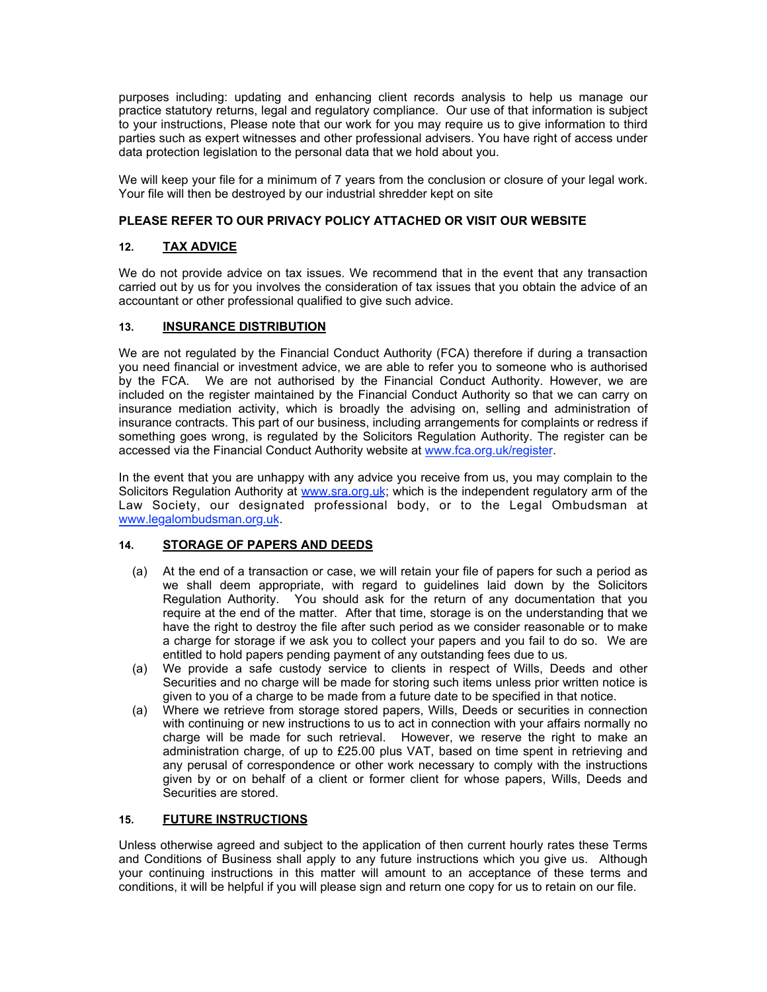purposes including: updating and enhancing client records analysis to help us manage our practice statutory returns, legal and regulatory compliance. Our use of that information is subject to your instructions, Please note that our work for you may require us to give information to third parties such as expert witnesses and other professional advisers. You have right of access under data protection legislation to the personal data that we hold about you.

We will keep your file for a minimum of 7 years from the conclusion or closure of your legal work. Your file will then be destroyed by our industrial shredder kept on site

#### **PLEASE REFER TO OUR PRIVACY POLICY ATTACHED OR VISIT OUR WEBSITE**

#### **12. TAX ADVICE**

We do not provide advice on tax issues. We recommend that in the event that any transaction carried out by us for you involves the consideration of tax issues that you obtain the advice of an accountant or other professional qualified to give such advice.

#### **13. INSURANCE DISTRIBUTION**

We are not regulated by the Financial Conduct Authority (FCA) therefore if during a transaction you need financial or investment advice, we are able to refer you to someone who is authorised by the FCA. We are not authorised by the Financial Conduct Authority. However, we are included on the register maintained by the Financial Conduct Authority so that we can carry on insurance mediation activity, which is broadly the advising on, selling and administration of insurance contracts. This part of our business, including arrangements for complaints or redress if something goes wrong, is regulated by the Solicitors Regulation Authority. The register can be accessed via the Financial Conduct Authority website at [www.fca.org.uk/register](http://www.fca.org.uk/register).

In the event that you are unhappy with any advice you receive from us, you may complain to the Solicitors Regulation Authority at [www.sra.org.uk;](http://www.sra.org.uk) which is the independent regulatory arm of the Law Society, our designated professional body, or to the Legal Ombudsman at [www.legalombudsman.org.uk](http://www.legalombudsman.org.uk).

#### **14. STORAGE OF PAPERS AND DEEDS**

- (a) At the end of a transaction or case, we will retain your file of papers for such a period as we shall deem appropriate, with regard to guidelines laid down by the Solicitors Regulation Authority. You should ask for the return of any documentation that you require at the end of the matter. After that time, storage is on the understanding that we have the right to destroy the file after such period as we consider reasonable or to make a charge for storage if we ask you to collect your papers and you fail to do so. We are entitled to hold papers pending payment of any outstanding fees due to us.
- (a) We provide a safe custody service to clients in respect of Wills, Deeds and other Securities and no charge will be made for storing such items unless prior written notice is given to you of a charge to be made from a future date to be specified in that notice.
- (a) Where we retrieve from storage stored papers, Wills, Deeds or securities in connection with continuing or new instructions to us to act in connection with your affairs normally no charge will be made for such retrieval. However, we reserve the right to make an administration charge, of up to £25.00 plus VAT, based on time spent in retrieving and any perusal of correspondence or other work necessary to comply with the instructions given by or on behalf of a client or former client for whose papers, Wills, Deeds and Securities are stored.

#### **15. FUTURE INSTRUCTIONS**

Unless otherwise agreed and subject to the application of then current hourly rates these Terms and Conditions of Business shall apply to any future instructions which you give us. Although your continuing instructions in this matter will amount to an acceptance of these terms and conditions, it will be helpful if you will please sign and return one copy for us to retain on our file.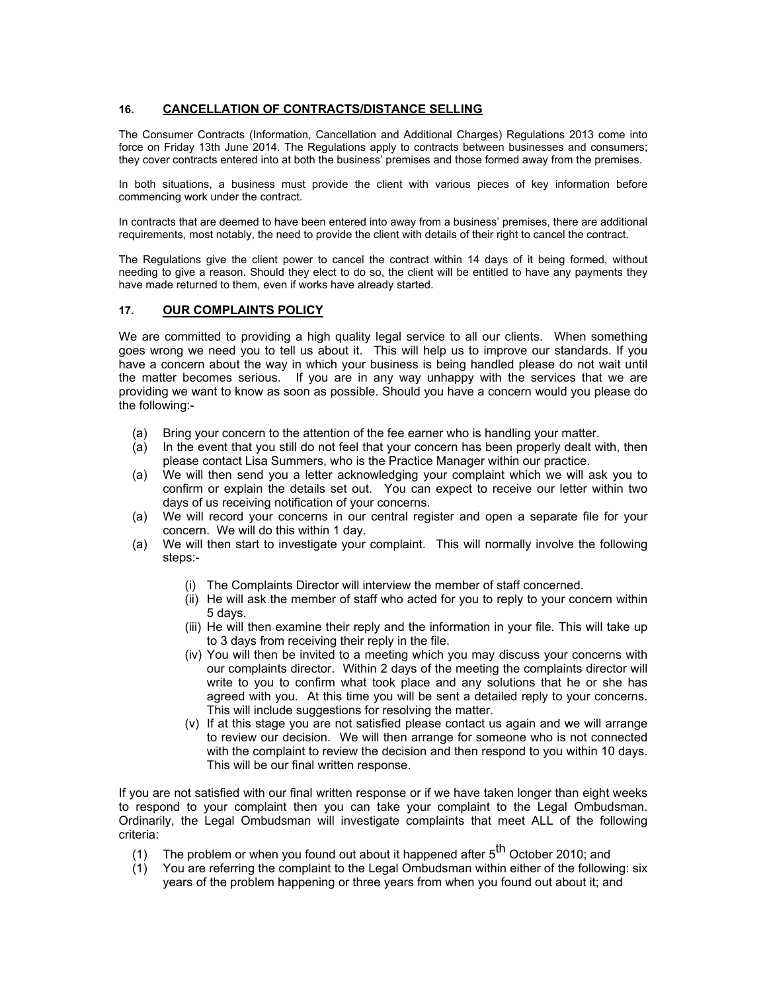#### **16. CANCELLATION OF CONTRACTS/DISTANCE SELLING**

The Consumer Contracts (Information, Cancellation and Additional Charges) Regulations 2013 come into force on Friday 13th June 2014. The Regulations apply to contracts between businesses and consumers; they cover contracts entered into at both the business' premises and those formed away from the premises.

In both situations, a business must provide the client with various pieces of key information before commencing work under the contract.

In contracts that are deemed to have been entered into away from a business' premises, there are additional requirements, most notably, the need to provide the client with details of their right to cancel the contract.

The Regulations give the client power to cancel the contract within 14 days of it being formed, without needing to give a reason. Should they elect to do so, the client will be entitled to have any payments they have made returned to them, even if works have already started.

#### **17. OUR COMPLAINTS POLICY**

We are committed to providing a high quality legal service to all our clients. When something goes wrong we need you to tell us about it. This will help us to improve our standards. If you have a concern about the way in which your business is being handled please do not wait until the matter becomes serious. If you are in any way unhappy with the services that we are providing we want to know as soon as possible. Should you have a concern would you please do the following:-

- (a) Bring your concern to the attention of the fee earner who is handling your matter.
- (a) In the event that you still do not feel that your concern has been properly dealt with, then please contact Lisa Summers, who is the Practice Manager within our practice.
- (a) We will then send you a letter acknowledging your complaint which we will ask you to confirm or explain the details set out. You can expect to receive our letter within two days of us receiving notification of your concerns.
- (a) We will record your concerns in our central register and open a separate file for your concern. We will do this within 1 day.
- (a) We will then start to investigate your complaint. This will normally involve the following steps:-
	- (i) The Complaints Director will interview the member of staff concerned.
	- (ii) He will ask the member of staff who acted for you to reply to your concern within 5 days.
	- (iii) He will then examine their reply and the information in your file. This will take up to 3 days from receiving their reply in the file.
	- (iv) You will then be invited to a meeting which you may discuss your concerns with our complaints director. Within 2 days of the meeting the complaints director will write to you to confirm what took place and any solutions that he or she has agreed with you. At this time you will be sent a detailed reply to your concerns. This will include suggestions for resolving the matter.
	- (v) If at this stage you are not satisfied please contact us again and we will arrange to review our decision. We will then arrange for someone who is not connected with the complaint to review the decision and then respond to you within 10 days. This will be our final written response.

If you are not satisfied with our final written response or if we have taken longer than eight weeks to respond to your complaint then you can take your complaint to the Legal Ombudsman. Ordinarily, the Legal Ombudsman will investigate complaints that meet ALL of the following criteria:

- (1) The problem or when you found out about it happened after  $5<sup>th</sup>$  October 2010; and
- (1) You are referring the complaint to the Legal Ombudsman within either of the following: six years of the problem happening or three years from when you found out about it; and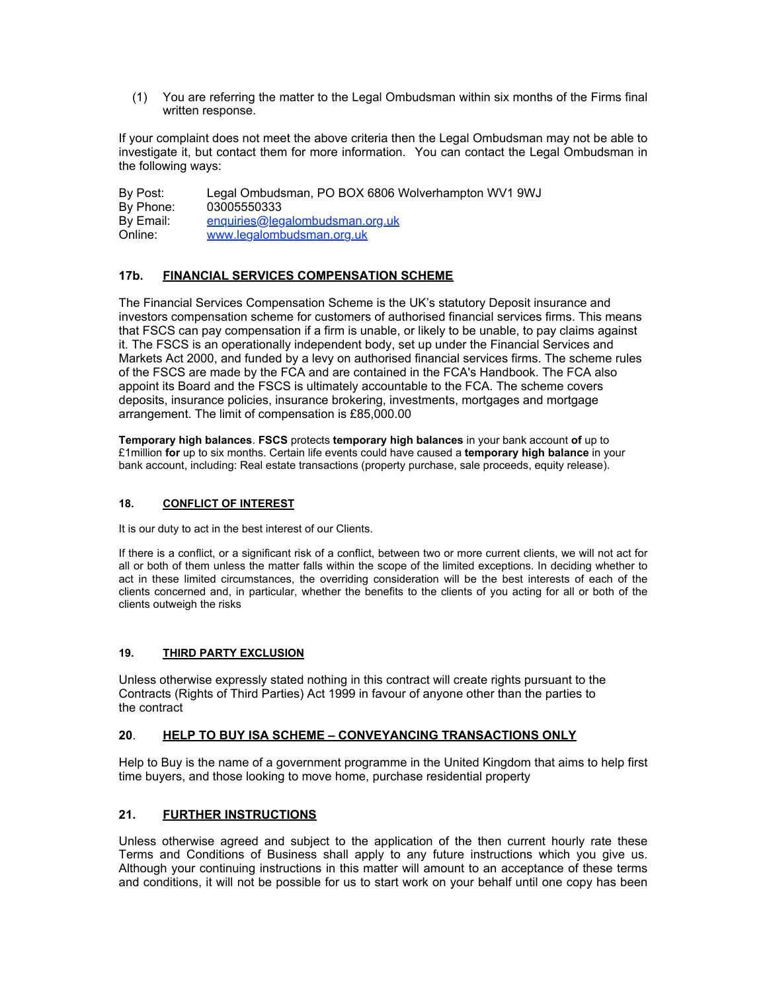(1) You are referring the matter to the Legal Ombudsman within six months of the Firms final written response.

If your complaint does not meet the above criteria then the Legal Ombudsman may not be able to investigate it, but contact them for more information. You can contact the Legal Ombudsman in the following ways:

By Post: Legal Ombudsman, PO BOX 6806 Wolverhampton WV1 9WJ By Phone: 03005550333 By Email: [enquiries@legalombudsman.org.uk](mailto:enquiries@legalombudsman.org.uk)<br>Online: www.legalombudsman.org.uk [www.legalombudsman.org.uk](http://www.legalombudsman.org.uk)

#### **17b. FINANCIAL SERVICES COMPENSATION SCHEME**

The Financial Services Compensation Scheme is the UK's statutory Deposit insurance and investors compensation scheme for customers of authorised financial services firms. This means that FSCS can pay compensation if a firm is unable, or likely to be unable, to pay claims against it. The FSCS is an operationally independent body, set up under the Financial Services and Markets Act 2000, and funded by a levy on authorised financial services firms. The scheme rules of the FSCS are made by the FCA and are contained in the FCA's Handbook. The FCA also appoint its Board and the FSCS is ultimately accountable to the FCA. The scheme covers deposits, insurance policies, insurance brokering, investments, mortgages and mortgage arrangement. The limit of compensation is £85,000.00

**Temporary high balances**. **FSCS** protects **temporary high balances** in your bank account **of** up to £1million **for** up to six months. Certain life events could have caused a **temporary high balance** in your bank account, including: Real estate transactions (property purchase, sale proceeds, equity release).

#### **18. CONFLICT OF INTEREST**

It is our duty to act in the best interest of our Clients.

If there is a conflict, or a significant risk of a conflict, between two or more current clients, we will not act for all or both of them unless the matter falls within the scope of the limited exceptions. In deciding whether to act in these limited circumstances, the overriding consideration will be the best interests of each of the clients concerned and, in particular, whether the benefits to the clients of you acting for all or both of the clients outweigh the risks

#### **19. THIRD PARTY EXCLUSION**

Unless otherwise expressly stated nothing in this contract will create rights pursuant to the Contracts (Rights of Third Parties) Act 1999 in favour of anyone other than the parties to the contract

#### **20**. **HELP TO BUY ISA SCHEME – CONVEYANCING TRANSACTIONS ONLY**

Help to Buy is the name of a government programme in the United Kingdom that aims to help first time buyers, and those looking to move home, purchase residential property

#### **21. FURTHER INSTRUCTIONS**

Unless otherwise agreed and subject to the application of the then current hourly rate these Terms and Conditions of Business shall apply to any future instructions which you give us. Although your continuing instructions in this matter will amount to an acceptance of these terms and conditions, it will not be possible for us to start work on your behalf until one copy has been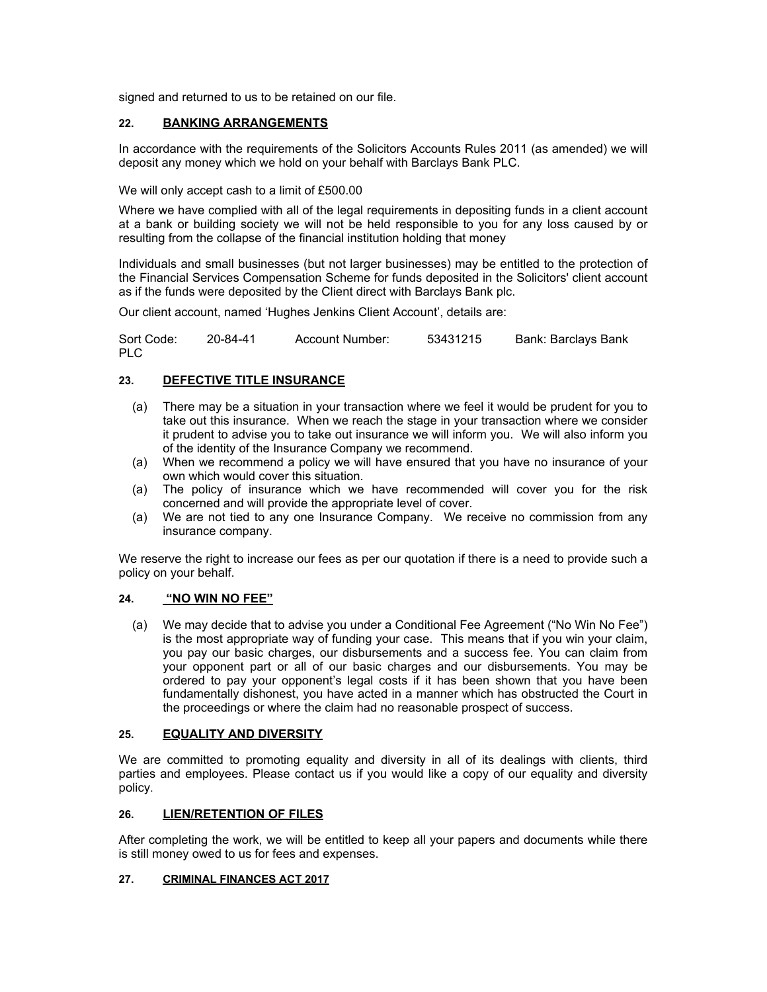signed and returned to us to be retained on our file.

#### **22. BANKING ARRANGEMENTS**

In accordance with the requirements of the Solicitors Accounts Rules 2011 (as amended) we will deposit any money which we hold on your behalf with Barclays Bank PLC.

We will only accept cash to a limit of £500.00

Where we have complied with all of the legal requirements in depositing funds in a client account at a bank or building society we will not be held responsible to you for any loss caused by or resulting from the collapse of the financial institution holding that money

Individuals and small businesses (but not larger businesses) may be entitled to the protection of the Financial Services Compensation Scheme for funds deposited in the Solicitors' client account as if the funds were deposited by the Client direct with Barclays Bank plc.

Our client account, named 'Hughes Jenkins Client Account', details are:

Sort Code: 20-84-41 Account Number: 53431215 Bank: Barclays Bank PLC

#### **23. DEFECTIVE TITLE INSURANCE**

- (a) There may be a situation in your transaction where we feel it would be prudent for you to take out this insurance. When we reach the stage in your transaction where we consider it prudent to advise you to take out insurance we will inform you. We will also inform you of the identity of the Insurance Company we recommend.
- (a) When we recommend a policy we will have ensured that you have no insurance of your own which would cover this situation.
- (a) The policy of insurance which we have recommended will cover you for the risk concerned and will provide the appropriate level of cover.
- (a) We are not tied to any one Insurance Company. We receive no commission from any insurance company.

We reserve the right to increase our fees as per our quotation if there is a need to provide such a policy on your behalf.

#### **24. "NO WIN NO FEE"**

(a) We may decide that to advise you under a Conditional Fee Agreement ("No Win No Fee") is the most appropriate way of funding your case. This means that if you win your claim, you pay our basic charges, our disbursements and a success fee. You can claim from your opponent part or all of our basic charges and our disbursements. You may be ordered to pay your opponent's legal costs if it has been shown that you have been fundamentally dishonest, you have acted in a manner which has obstructed the Court in the proceedings or where the claim had no reasonable prospect of success.

#### **25. EQUALITY AND DIVERSITY**

We are committed to promoting equality and diversity in all of its dealings with clients, third parties and employees. Please contact us if you would like a copy of our equality and diversity policy.

#### **26. LIEN/RETENTION OF FILES**

After completing the work, we will be entitled to keep all your papers and documents while there is still money owed to us for fees and expenses.

#### **27. CRIMINAL FINANCES ACT 2017**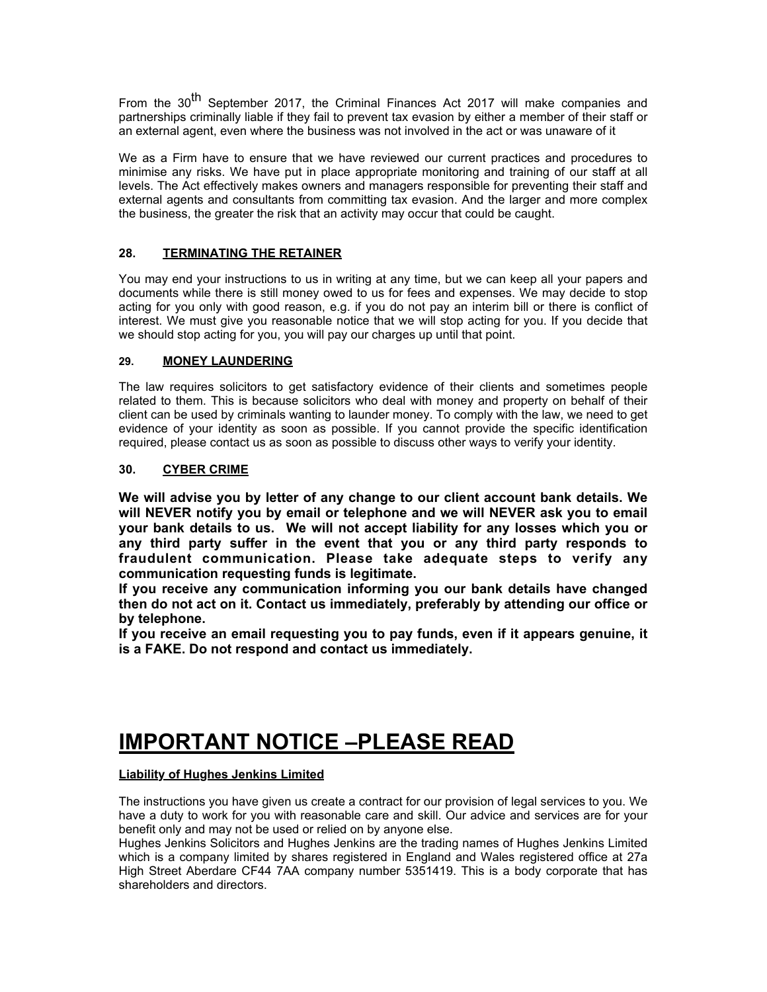From the 30<sup>th</sup> September 2017, the Criminal Finances Act 2017 will make companies and partnerships criminally liable if they fail to prevent tax evasion by either a member of their staff or an external agent, even where the business was not involved in the act or was unaware of it

We as a Firm have to ensure that we have reviewed our current practices and procedures to minimise any risks. We have put in place appropriate monitoring and training of our staff at all levels. The Act effectively makes owners and managers responsible for preventing their staff and external agents and consultants from committing tax evasion. And the larger and more complex the business, the greater the risk that an activity may occur that could be caught.

#### **28. TERMINATING THE RETAINER**

You may end your instructions to us in writing at any time, but we can keep all your papers and documents while there is still money owed to us for fees and expenses. We may decide to stop acting for you only with good reason, e.g. if you do not pay an interim bill or there is conflict of interest. We must give you reasonable notice that we will stop acting for you. If you decide that we should stop acting for you, you will pay our charges up until that point.

#### **29. MONEY LAUNDERING**

The law requires solicitors to get satisfactory evidence of their clients and sometimes people related to them. This is because solicitors who deal with money and property on behalf of their client can be used by criminals wanting to launder money. To comply with the law, we need to get evidence of your identity as soon as possible. If you cannot provide the specific identification required, please contact us as soon as possible to discuss other ways to verify your identity.

#### **30. CYBER CRIME**

**We will advise you by letter of any change to our client account bank details. We will NEVER notify you by email or telephone and we will NEVER ask you to email your bank details to us. We will not accept liability for any losses which you or any third party suffer in the event that you or any third party responds to fraudulent communication. Please take adequate steps to verify any communication requesting funds is legitimate.**

**If you receive any communication informing you our bank details have changed then do not act on it. Contact us immediately, preferably by attending our office or by telephone.**

**If you receive an email requesting you to pay funds, even if it appears genuine, it is a FAKE. Do not respond and contact us immediately.** 

# **IMPORTANT NOTICE –PLEASE READ**

#### **Liability of Hughes Jenkins Limited**

The instructions you have given us create a contract for our provision of legal services to you. We have a duty to work for you with reasonable care and skill. Our advice and services are for your benefit only and may not be used or relied on by anyone else.

Hughes Jenkins Solicitors and Hughes Jenkins are the trading names of Hughes Jenkins Limited which is a company limited by shares registered in England and Wales registered office at 27a High Street Aberdare CF44 7AA company number 5351419. This is a body corporate that has shareholders and directors.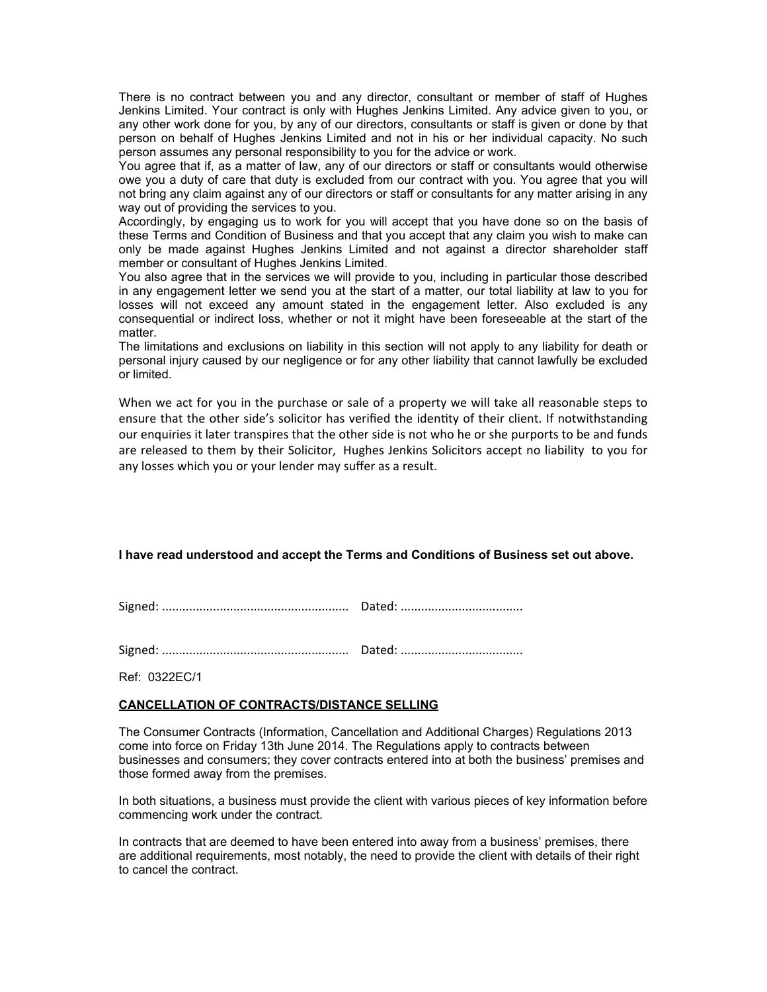There is no contract between you and any director, consultant or member of staff of Hughes Jenkins Limited. Your contract is only with Hughes Jenkins Limited. Any advice given to you, or any other work done for you, by any of our directors, consultants or staff is given or done by that person on behalf of Hughes Jenkins Limited and not in his or her individual capacity. No such person assumes any personal responsibility to you for the advice or work.

You agree that if, as a matter of law, any of our directors or staff or consultants would otherwise owe you a duty of care that duty is excluded from our contract with you. You agree that you will not bring any claim against any of our directors or staff or consultants for any matter arising in any way out of providing the services to you.

Accordingly, by engaging us to work for you will accept that you have done so on the basis of these Terms and Condition of Business and that you accept that any claim you wish to make can only be made against Hughes Jenkins Limited and not against a director shareholder staff member or consultant of Hughes Jenkins Limited.

You also agree that in the services we will provide to you, including in particular those described in any engagement letter we send you at the start of a matter, our total liability at law to you for losses will not exceed any amount stated in the engagement letter. Also excluded is any consequential or indirect loss, whether or not it might have been foreseeable at the start of the matter.

The limitations and exclusions on liability in this section will not apply to any liability for death or personal injury caused by our negligence or for any other liability that cannot lawfully be excluded or limited.

When we act for you in the purchase or sale of a property we will take all reasonable steps to ensure that the other side's solicitor has verified the identity of their client. If notwithstanding our enquiries it later transpires that the other side is not who he or she purports to be and funds are released to them by their Solicitor, Hughes Jenkins Solicitors accept no liability to you for any losses which you or your lender may suffer as a result.

#### **I have read understood and accept the Terms and Conditions of Business set out above.**

Signed: ....................................................... Dated: ....................................

Signed: ....................................................... Dated: ....................................

Ref: 0322EC/1

#### **CANCELLATION OF CONTRACTS/DISTANCE SELLING**

The Consumer Contracts (Information, Cancellation and Additional Charges) Regulations 2013 come into force on Friday 13th June 2014. The Regulations apply to contracts between businesses and consumers; they cover contracts entered into at both the business' premises and those formed away from the premises.

In both situations, a business must provide the client with various pieces of key information before commencing work under the contract.

In contracts that are deemed to have been entered into away from a business' premises, there are additional requirements, most notably, the need to provide the client with details of their right to cancel the contract.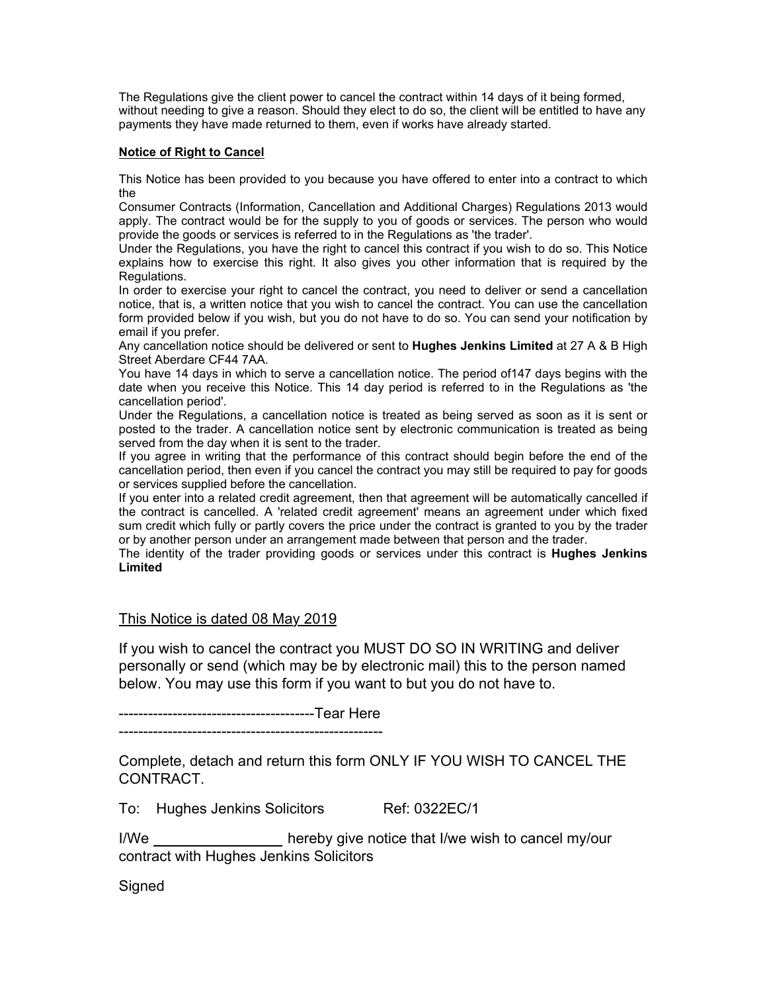The Regulations give the client power to cancel the contract within 14 days of it being formed, without needing to give a reason. Should they elect to do so, the client will be entitled to have any payments they have made returned to them, even if works have already started.

#### **Notice of Right to Cancel**

This Notice has been provided to you because you have offered to enter into a contract to which the

Consumer Contracts (Information, Cancellation and Additional Charges) Regulations 2013 would apply. The contract would be for the supply to you of goods or services. The person who would provide the goods or services is referred to in the Regulations as 'the trader'.

Under the Regulations, you have the right to cancel this contract if you wish to do so. This Notice explains how to exercise this right. It also gives you other information that is required by the Regulations.

In order to exercise your right to cancel the contract, you need to deliver or send a cancellation notice, that is, a written notice that you wish to cancel the contract. You can use the cancellation form provided below if you wish, but you do not have to do so. You can send your notification by email if you prefer.

Any cancellation notice should be delivered or sent to **Hughes Jenkins Limited** at 27 A & B High Street Aberdare CF44 7AA.

You have 14 days in which to serve a cancellation notice. The period of147 days begins with the date when you receive this Notice. This 14 day period is referred to in the Regulations as 'the cancellation period'.

Under the Regulations, a cancellation notice is treated as being served as soon as it is sent or posted to the trader. A cancellation notice sent by electronic communication is treated as being served from the day when it is sent to the trader.

If you agree in writing that the performance of this contract should begin before the end of the cancellation period, then even if you cancel the contract you may still be required to pay for goods or services supplied before the cancellation.

If you enter into a related credit agreement, then that agreement will be automatically cancelled if the contract is cancelled. A 'related credit agreement' means an agreement under which fixed sum credit which fully or partly covers the price under the contract is granted to you by the trader or by another person under an arrangement made between that person and the trader.

The identity of the trader providing goods or services under this contract is **Hughes Jenkins Limited**

#### This Notice is dated 08 May 2019

If you wish to cancel the contract you MUST DO SO IN WRITING and deliver personally or send (which may be by electronic mail) this to the person named below. You may use this form if you want to but you do not have to.

----------------------------------------Tear Here

------------------------------------------------------

Complete, detach and return this form ONLY IF YOU WISH TO CANCEL THE CONTRACT.

To: Hughes Jenkins Solicitors Ref: 0322EC/1

I/We hereby give notice that I/we wish to cancel my/our contract with Hughes Jenkins Solicitors

**Signed**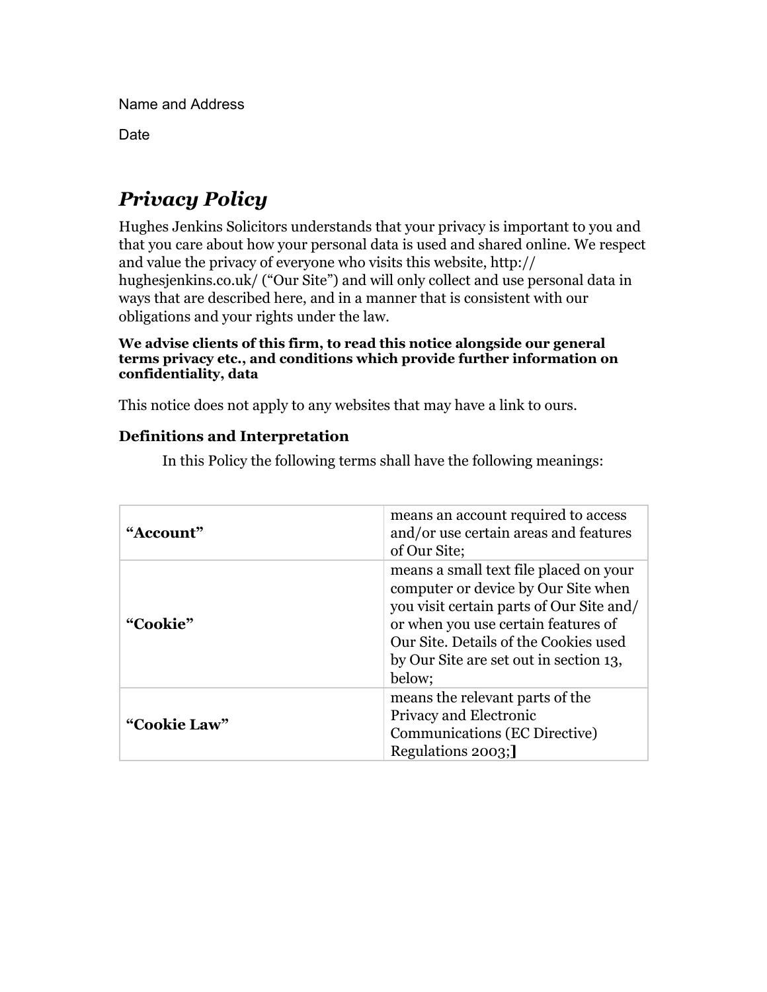Name and Address

Date

# *Privacy Policy*

Hughes Jenkins Solicitors understands that your privacy is important to you and that you care about how your personal data is used and shared online. We respect and value the privacy of everyone who visits this website, http:// hughesjenkins.co.uk/ ("Our Site") and will only collect and use personal data in ways that are described here, and in a manner that is consistent with our obligations and your rights under the law.

### **We advise clients of this firm, to read this notice alongside our general terms privacy etc., and conditions which provide further information on confidentiality, data**

This notice does not apply to any websites that may have a link to ours.

# **Definitions and Interpretation**

| "Account"    | means an account required to access<br>and/or use certain areas and features<br>of Our Site;                                                                                                                                                                  |
|--------------|---------------------------------------------------------------------------------------------------------------------------------------------------------------------------------------------------------------------------------------------------------------|
| "Cookie"     | means a small text file placed on your<br>computer or device by Our Site when<br>you visit certain parts of Our Site and/<br>or when you use certain features of<br>Our Site. Details of the Cookies used<br>by Our Site are set out in section 13,<br>below; |
| "Cookie Law" | means the relevant parts of the<br>Privacy and Electronic<br>Communications (EC Directive)<br>Regulations 2003;                                                                                                                                               |

In this Policy the following terms shall have the following meanings: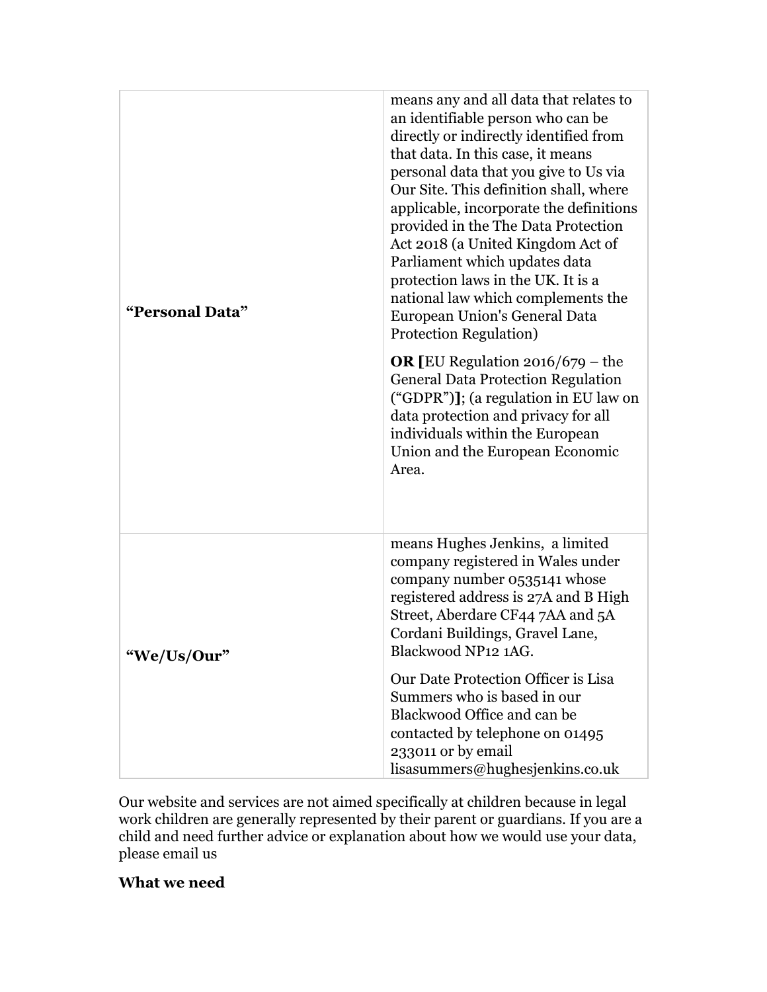| "Personal Data" | means any and all data that relates to<br>an identifiable person who can be<br>directly or indirectly identified from<br>that data. In this case, it means<br>personal data that you give to Us via<br>Our Site. This definition shall, where<br>applicable, incorporate the definitions<br>provided in the The Data Protection<br>Act 2018 (a United Kingdom Act of<br>Parliament which updates data<br>protection laws in the UK. It is a<br>national law which complements the<br>European Union's General Data<br>Protection Regulation)<br><b>OR</b> [EU Regulation $2016/679$ – the<br><b>General Data Protection Regulation</b><br>("GDPR")]; (a regulation in EU law on<br>data protection and privacy for all<br>individuals within the European<br>Union and the European Economic<br>Area. |
|-----------------|-------------------------------------------------------------------------------------------------------------------------------------------------------------------------------------------------------------------------------------------------------------------------------------------------------------------------------------------------------------------------------------------------------------------------------------------------------------------------------------------------------------------------------------------------------------------------------------------------------------------------------------------------------------------------------------------------------------------------------------------------------------------------------------------------------|
| "We/Us/Our"     | means Hughes Jenkins, a limited<br>company registered in Wales under<br>company number 0535141 whose<br>registered address is 27A and B High<br>Street, Aberdare CF44 7AA and 5A<br>Cordani Buildings, Gravel Lane,<br>Blackwood NP12 1AG.<br>Our Date Protection Officer is Lisa<br>Summers who is based in our<br>Blackwood Office and can be<br>contacted by telephone on 01495<br>233011 or by email<br>lisasummers@hughesjenkins.co.uk                                                                                                                                                                                                                                                                                                                                                           |

Our website and services are not aimed specifically at children because in legal work children are generally represented by their parent or guardians. If you are a child and need further advice or explanation about how we would use your data, please email us

# **What we need**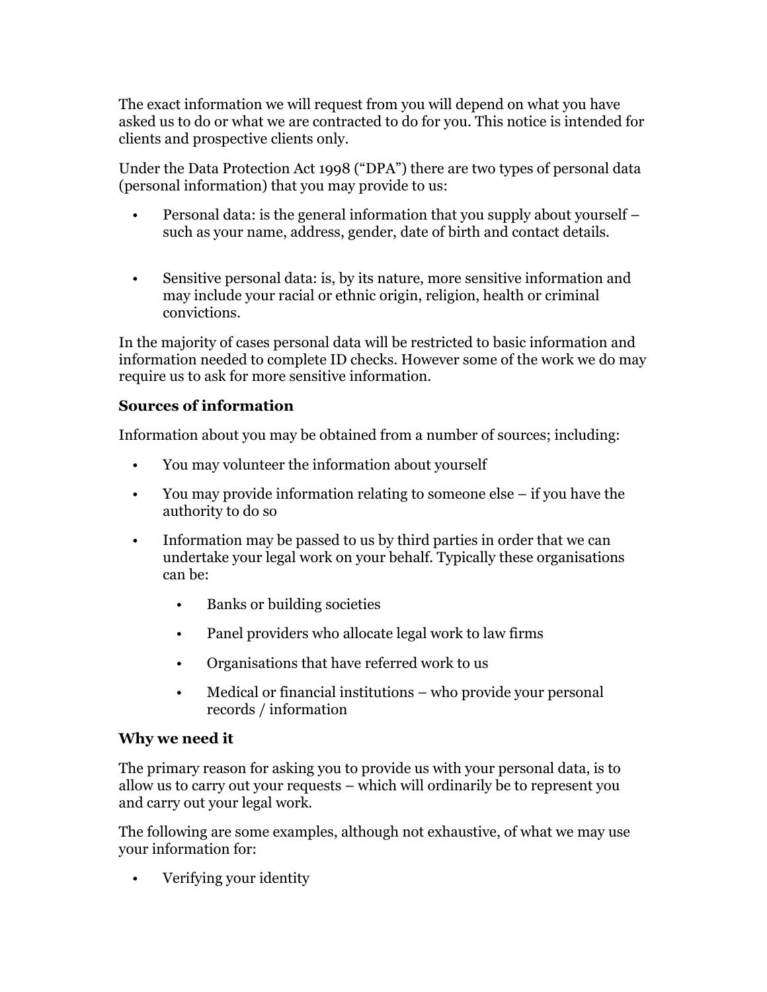The exact information we will request from you will depend on what you have asked us to do or what we are contracted to do for you. This notice is intended for clients and prospective clients only.

Under the Data Protection Act 1998 ("DPA") there are two types of personal data (personal information) that you may provide to us:

- Personal data: is the general information that you supply about yourself such as your name, address, gender, date of birth and contact details.
- Sensitive personal data: is, by its nature, more sensitive information and may include your racial or ethnic origin, religion, health or criminal convictions.

In the majority of cases personal data will be restricted to basic information and information needed to complete ID checks. However some of the work we do may require us to ask for more sensitive information.

# **Sources of information**

Information about you may be obtained from a number of sources; including:

- You may volunteer the information about yourself
- You may provide information relating to someone else if you have the authority to do so
- Information may be passed to us by third parties in order that we can undertake your legal work on your behalf. Typically these organisations can be:
	- Banks or building societies
	- Panel providers who allocate legal work to law firms
	- Organisations that have referred work to us
	- Medical or financial institutions who provide your personal records / information

## **Why we need it**

The primary reason for asking you to provide us with your personal data, is to allow us to carry out your requests – which will ordinarily be to represent you and carry out your legal work.

The following are some examples, although not exhaustive, of what we may use your information for:

• Verifying your identity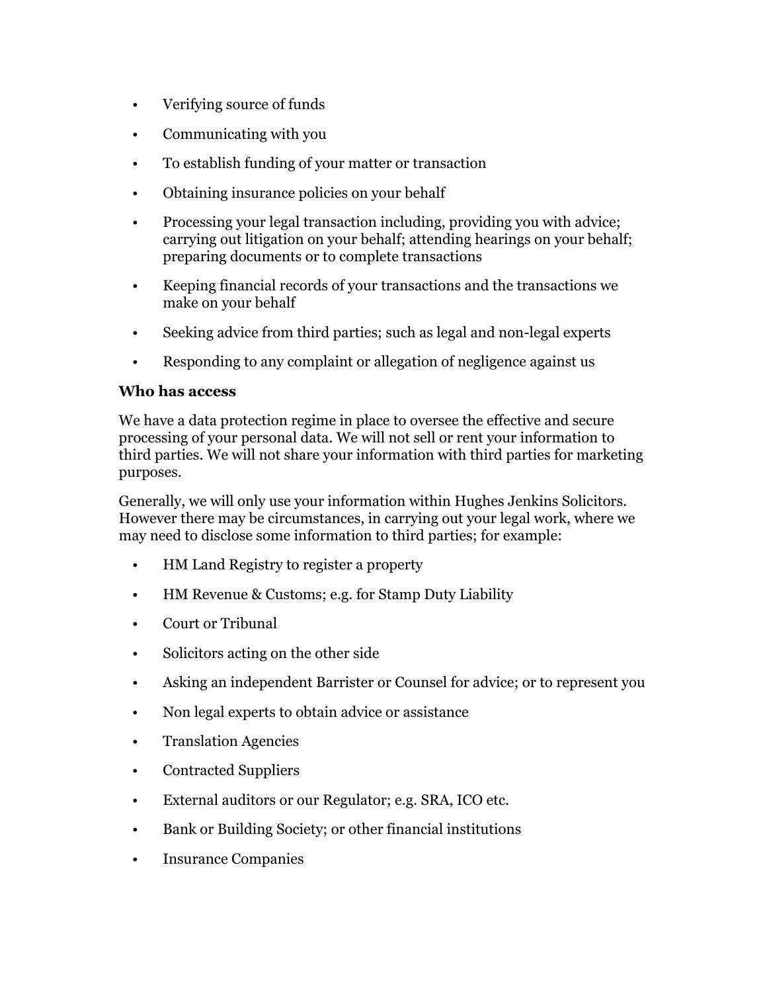- Verifying source of funds
- Communicating with you
- To establish funding of your matter or transaction
- Obtaining insurance policies on your behalf
- Processing your legal transaction including, providing you with advice; carrying out litigation on your behalf; attending hearings on your behalf; preparing documents or to complete transactions
- Keeping financial records of your transactions and the transactions we make on your behalf
- Seeking advice from third parties; such as legal and non-legal experts
- Responding to any complaint or allegation of negligence against us

## **Who has access**

We have a data protection regime in place to oversee the effective and secure processing of your personal data. We will not sell or rent your information to third parties. We will not share your information with third parties for marketing purposes.

Generally, we will only use your information within Hughes Jenkins Solicitors. However there may be circumstances, in carrying out your legal work, where we may need to disclose some information to third parties; for example:

- HM Land Registry to register a property
- HM Revenue & Customs; e.g. for Stamp Duty Liability
- Court or Tribunal
- Solicitors acting on the other side
- Asking an independent Barrister or Counsel for advice; or to represent you
- Non legal experts to obtain advice or assistance
- Translation Agencies
- Contracted Suppliers
- External auditors or our Regulator; e.g. SRA, ICO etc.
- Bank or Building Society; or other financial institutions
- Insurance Companies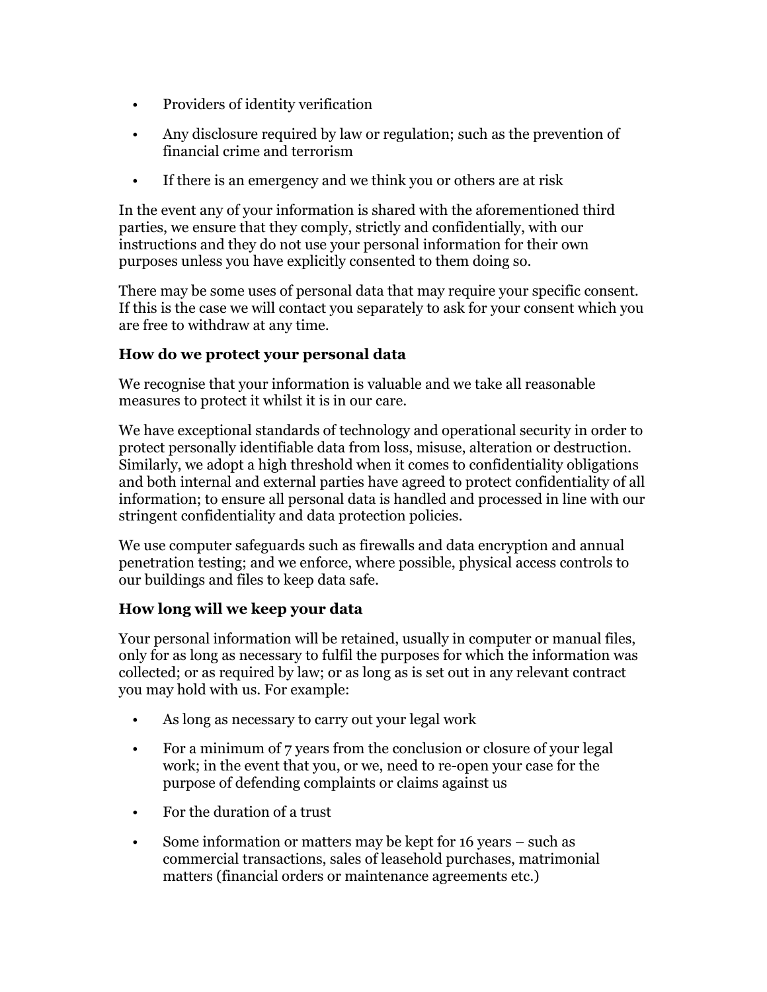- Providers of identity verification
- Any disclosure required by law or regulation; such as the prevention of financial crime and terrorism
- If there is an emergency and we think you or others are at risk

In the event any of your information is shared with the aforementioned third parties, we ensure that they comply, strictly and confidentially, with our instructions and they do not use your personal information for their own purposes unless you have explicitly consented to them doing so.

There may be some uses of personal data that may require your specific consent. If this is the case we will contact you separately to ask for your consent which you are free to withdraw at any time.

# **How do we protect your personal data**

We recognise that your information is valuable and we take all reasonable measures to protect it whilst it is in our care.

We have exceptional standards of technology and operational security in order to protect personally identifiable data from loss, misuse, alteration or destruction. Similarly, we adopt a high threshold when it comes to confidentiality obligations and both internal and external parties have agreed to protect confidentiality of all information; to ensure all personal data is handled and processed in line with our stringent confidentiality and data protection policies.

We use computer safeguards such as firewalls and data encryption and annual penetration testing; and we enforce, where possible, physical access controls to our buildings and files to keep data safe.

# **How long will we keep your data**

Your personal information will be retained, usually in computer or manual files, only for as long as necessary to fulfil the purposes for which the information was collected; or as required by law; or as long as is set out in any relevant contract you may hold with us. For example:

- As long as necessary to carry out your legal work
- For a minimum of 7 years from the conclusion or closure of your legal work; in the event that you, or we, need to re-open your case for the purpose of defending complaints or claims against us
- For the duration of a trust
- Some information or matters may be kept for 16 years such as commercial transactions, sales of leasehold purchases, matrimonial matters (financial orders or maintenance agreements etc.)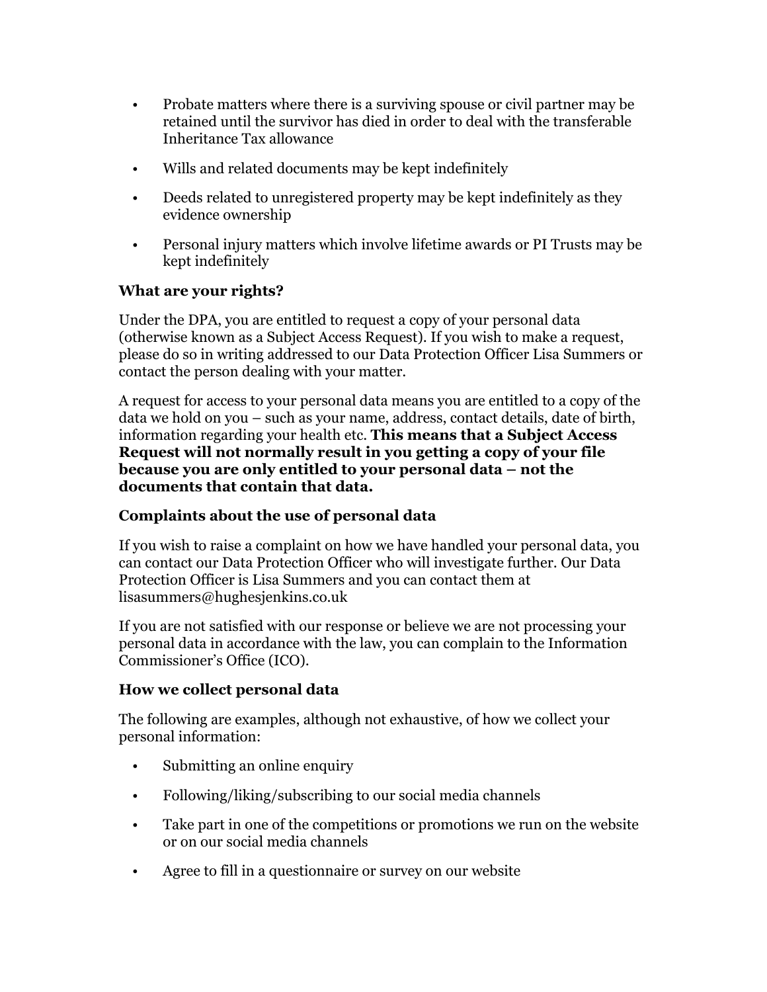- Probate matters where there is a surviving spouse or civil partner may be retained until the survivor has died in order to deal with the transferable Inheritance Tax allowance
- Wills and related documents may be kept indefinitely
- Deeds related to unregistered property may be kept indefinitely as they evidence ownership
- Personal injury matters which involve lifetime awards or PI Trusts may be kept indefinitely

## **What are your rights?**

Under the DPA, you are entitled to request a copy of your personal data (otherwise known as a Subject Access Request). If you wish to make a request, please do so in writing addressed to our Data Protection Officer Lisa Summers or contact the person dealing with your matter.

A request for access to your personal data means you are entitled to a copy of the data we hold on you – such as your name, address, contact details, date of birth, information regarding your health etc. **This means that a Subject Access Request will not normally result in you getting a copy of your file because you are only entitled to your personal data – not the documents that contain that data.**

# **Complaints about the use of personal data**

If you wish to raise a complaint on how we have handled your personal data, you can contact our Data Protection Officer who will investigate further. Our Data Protection Officer is Lisa Summers and you can contact them at lisasummers@hughesjenkins.co.uk

If you are not satisfied with our response or believe we are not processing your personal data in accordance with the law, you can complain to the Information Commissioner's Office (ICO).

## **How we collect personal data**

The following are examples, although not exhaustive, of how we collect your personal information:

- Submitting an online enquiry
- Following/liking/subscribing to our social media channels
- Take part in one of the competitions or promotions we run on the website or on our social media channels
- Agree to fill in a questionnaire or survey on our website